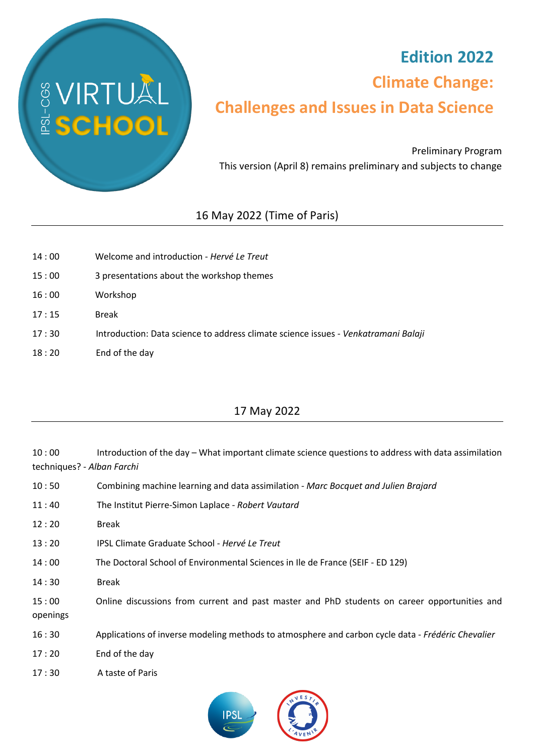

## **Edition 2022 Climate Change: Challenges and Issues in Data Science**

Preliminary Program This version (April 8) remains preliminary and subjects to change

## 16 May 2022 (Time of Paris)

| 14:00 | Welcome and introduction - Hervé Le Treut                                          |
|-------|------------------------------------------------------------------------------------|
| 15:00 | 3 presentations about the workshop themes                                          |
| 16:00 | Workshop                                                                           |
| 17:15 | <b>Break</b>                                                                       |
| 17:30 | Introduction: Data science to address climate science issues - Venkatramani Balaji |
| 18:20 | End of the day                                                                     |

## 17 May 2022

10 : 00 Introduction of the day – What important climate science questions to address with data assimilation techniques? - *Alban Farchi* 10 : 50 Combining machine learning and data assimilation - *Marc Bocquet and Julien Brajard* 11 : 40 The Institut Pierre-Simon Laplace - *Robert Vautard* 12 : 20 Break 13 : 20 IPSL Climate Graduate School - *Hervé Le Treut* 14 : 00 The Doctoral School of Environmental Sciences in Ile de France (SEIF - ED 129) 14 : 30 Break 15 : 00 Online discussions from current and past master and PhD students on career opportunities and openings 16 : 30 Applications of inverse modeling methods to atmosphere and carbon cycle data - *Frédéric Chevalier*

- 17 : 20 End of the day
- 17 : 30 A taste of Paris